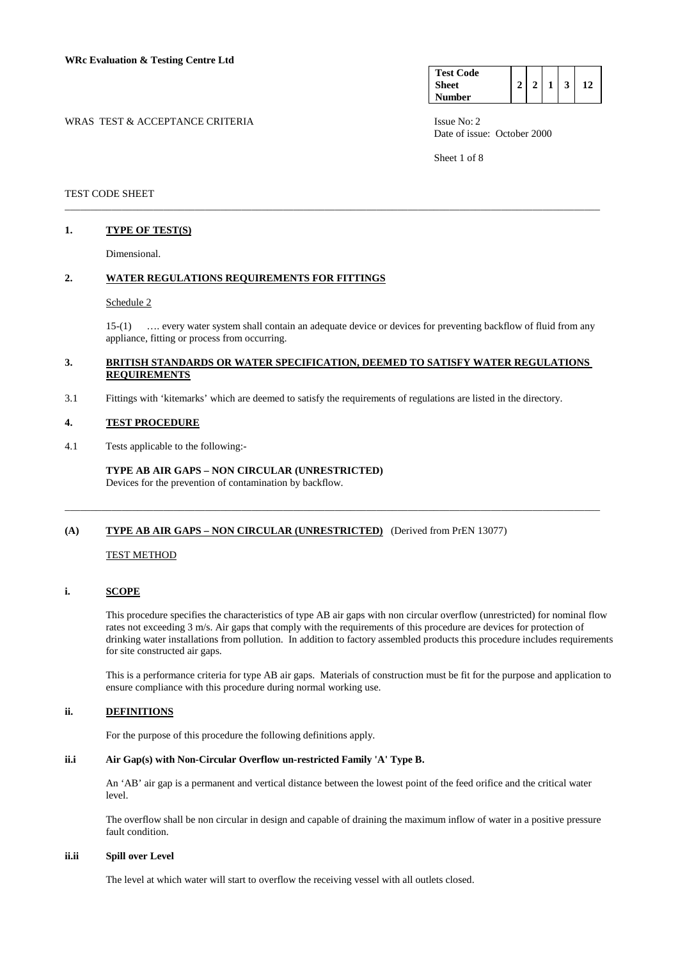| <b>Test Code</b><br>Sheet | $\mathcal{P}$ | 3 |  |
|---------------------------|---------------|---|--|
| Number                    |               |   |  |

WRAS TEST & ACCEPTANCE CRITERIA ISSUE No: 2

Sheet 1 of 8

### TEST CODE SHEET

## **1. TYPE OF TEST(S)**

Dimensional.

## **2. WATER REGULATIONS REQUIREMENTS FOR FITTINGS**

#### Schedule 2

 15-(1) …. every water system shall contain an adequate device or devices for preventing backflow of fluid from any appliance, fitting or process from occurring.

### **3. BRITISH STANDARDS OR WATER SPECIFICATION, DEEMED TO SATISFY WATER REGULATIONS REQUIREMENTS**

\_\_\_\_\_\_\_\_\_\_\_\_\_\_\_\_\_\_\_\_\_\_\_\_\_\_\_\_\_\_\_\_\_\_\_\_\_\_\_\_\_\_\_\_\_\_\_\_\_\_\_\_\_\_\_\_\_\_\_\_\_\_\_\_\_\_\_\_\_\_\_\_\_\_\_\_\_\_\_\_\_\_\_\_\_\_\_\_\_\_\_\_\_\_\_\_\_\_\_\_\_\_\_

\_\_\_\_\_\_\_\_\_\_\_\_\_\_\_\_\_\_\_\_\_\_\_\_\_\_\_\_\_\_\_\_\_\_\_\_\_\_\_\_\_\_\_\_\_\_\_\_\_\_\_\_\_\_\_\_\_\_\_\_\_\_\_\_\_\_\_\_\_\_\_\_\_\_\_\_\_\_\_\_\_\_\_\_\_\_\_\_\_\_\_\_\_\_\_\_\_\_\_\_\_\_\_

3.1 Fittings with 'kitemarks' which are deemed to satisfy the requirements of regulations are listed in the directory.

#### **4. TEST PROCEDURE**

4.1 Tests applicable to the following:-

 **TYPE AB AIR GAPS – NON CIRCULAR (UNRESTRICTED)**  Devices for the prevention of contamination by backflow.

## **(A) TYPE AB AIR GAPS – NON CIRCULAR (UNRESTRICTED)** (Derived from PrEN 13077)

#### TEST METHOD

## **i. SCOPE**

 This procedure specifies the characteristics of type AB air gaps with non circular overflow (unrestricted) for nominal flow rates not exceeding 3 m/s. Air gaps that comply with the requirements of this procedure are devices for protection of drinking water installations from pollution. In addition to factory assembled products this procedure includes requirements for site constructed air gaps.

 This is a performance criteria for type AB air gaps. Materials of construction must be fit for the purpose and application to ensure compliance with this procedure during normal working use.

## **ii. DEFINITIONS**

For the purpose of this procedure the following definitions apply.

## **ii.i Air Gap(s) with Non-Circular Overflow un-restricted Family 'A' Type B.**

 An 'AB' air gap is a permanent and vertical distance between the lowest point of the feed orifice and the critical water level.

 The overflow shall be non circular in design and capable of draining the maximum inflow of water in a positive pressure fault condition.

#### **ii.ii Spill over Level**

The level at which water will start to overflow the receiving vessel with all outlets closed.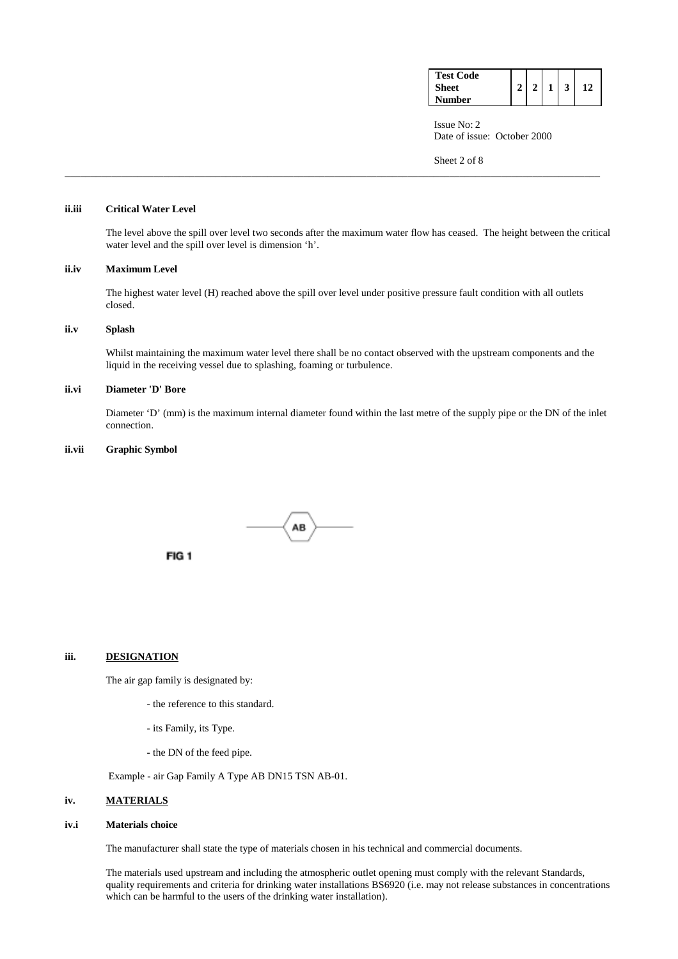| <b>Test Code</b> |  |  |  |
|------------------|--|--|--|
| <b>Sheet</b>     |  |  |  |
| Number           |  |  |  |

Sheet 2 of 8

## **ii.iii Critical Water Level**

 The level above the spill over level two seconds after the maximum water flow has ceased. The height between the critical water level and the spill over level is dimension 'h'.

## **ii.iv Maximum Level**

 The highest water level (H) reached above the spill over level under positive pressure fault condition with all outlets closed.

\_\_\_\_\_\_\_\_\_\_\_\_\_\_\_\_\_\_\_\_\_\_\_\_\_\_\_\_\_\_\_\_\_\_\_\_\_\_\_\_\_\_\_\_\_\_\_\_\_\_\_\_\_\_\_\_\_\_\_\_\_\_\_\_\_\_\_\_\_\_\_\_\_\_\_\_\_\_\_\_\_\_\_\_\_\_\_\_\_\_\_\_\_\_\_\_\_\_\_\_\_\_\_

## **ii.v Splash**

 Whilst maintaining the maximum water level there shall be no contact observed with the upstream components and the liquid in the receiving vessel due to splashing, foaming or turbulence.

#### **ii.vi Diameter 'D' Bore**

 Diameter 'D' (mm) is the maximum internal diameter found within the last metre of the supply pipe or the DN of the inlet connection.

#### **ii.vii Graphic Symbol**



## **iii. DESIGNATION**

The air gap family is designated by:

FIG<sub>1</sub>

- the reference to this standard.
- its Family, its Type.
- the DN of the feed pipe.

Example - air Gap Family A Type AB DN15 TSN AB-01.

### **iv. MATERIALS**

#### **iv.i Materials choice**

The manufacturer shall state the type of materials chosen in his technical and commercial documents.

 The materials used upstream and including the atmospheric outlet opening must comply with the relevant Standards, quality requirements and criteria for drinking water installations BS6920 (i.e. may not release substances in concentrations which can be harmful to the users of the drinking water installation).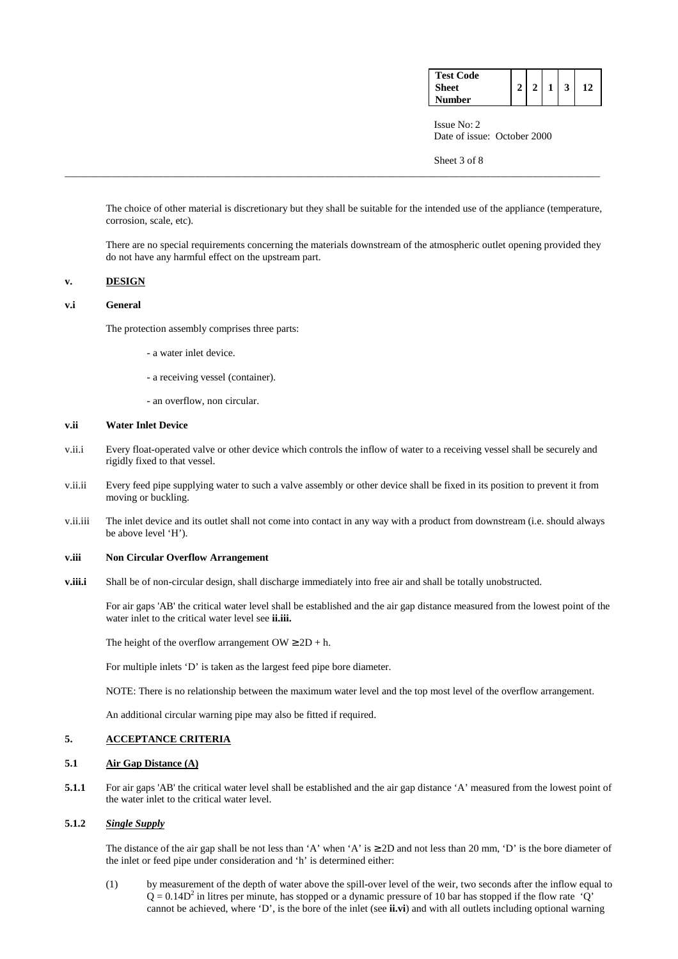| <b>Test Code</b> |  |  |  |
|------------------|--|--|--|
| Sheet            |  |  |  |
| Number           |  |  |  |

Sheet 3 of 8

 The choice of other material is discretionary but they shall be suitable for the intended use of the appliance (temperature, corrosion, scale, etc).

\_\_\_\_\_\_\_\_\_\_\_\_\_\_\_\_\_\_\_\_\_\_\_\_\_\_\_\_\_\_\_\_\_\_\_\_\_\_\_\_\_\_\_\_\_\_\_\_\_\_\_\_\_\_\_\_\_\_\_\_\_\_\_\_\_\_\_\_\_\_\_\_\_\_\_\_\_\_\_\_\_\_\_\_\_\_\_\_\_\_\_\_\_\_\_\_\_\_\_\_\_\_\_

 There are no special requirements concerning the materials downstream of the atmospheric outlet opening provided they do not have any harmful effect on the upstream part.

## **v. DESIGN**

## **v.i General**

The protection assembly comprises three parts:

- a water inlet device.
- a receiving vessel (container).
- an overflow, non circular.

#### **v.ii Water Inlet Device**

- v.ii.i Every float-operated valve or other device which controls the inflow of water to a receiving vessel shall be securely and rigidly fixed to that vessel.
- v.ii.ii Every feed pipe supplying water to such a valve assembly or other device shall be fixed in its position to prevent it from moving or buckling.
- v.ii.iii The inlet device and its outlet shall not come into contact in any way with a product from downstream (i.e. should always be above level 'H').

## **v.iii Non Circular Overflow Arrangement**

**v.iii.i** Shall be of non-circular design, shall discharge immediately into free air and shall be totally unobstructed.

 For air gaps 'AB' the critical water level shall be established and the air gap distance measured from the lowest point of the water inlet to the critical water level see **ii.iii.**

The height of the overflow arrangement  $OW \ge 2D + h$ .

For multiple inlets 'D' is taken as the largest feed pipe bore diameter.

NOTE: There is no relationship between the maximum water level and the top most level of the overflow arrangement.

An additional circular warning pipe may also be fitted if required.

## **5. ACCEPTANCE CRITERIA**

#### **5.1 Air Gap Distance (A)**

**5.1.1** For air gaps 'AB' the critical water level shall be established and the air gap distance 'A' measured from the lowest point of the water inlet to the critical water level.

## **5.1.2** *Single Supply*

The distance of the air gap shall be not less than 'A' when 'A' is  $\geq$  2D and not less than 20 mm, 'D' is the bore diameter of the inlet or feed pipe under consideration and 'h' is determined either:

(1) by measurement of the depth of water above the spill-over level of the weir, two seconds after the inflow equal to  $Q = 0.14D<sup>2</sup>$  in litres per minute, has stopped or a dynamic pressure of 10 bar has stopped if the flow rate 'Q' cannot be achieved, where 'D', is the bore of the inlet (see **ii.vi**) and with all outlets including optional warning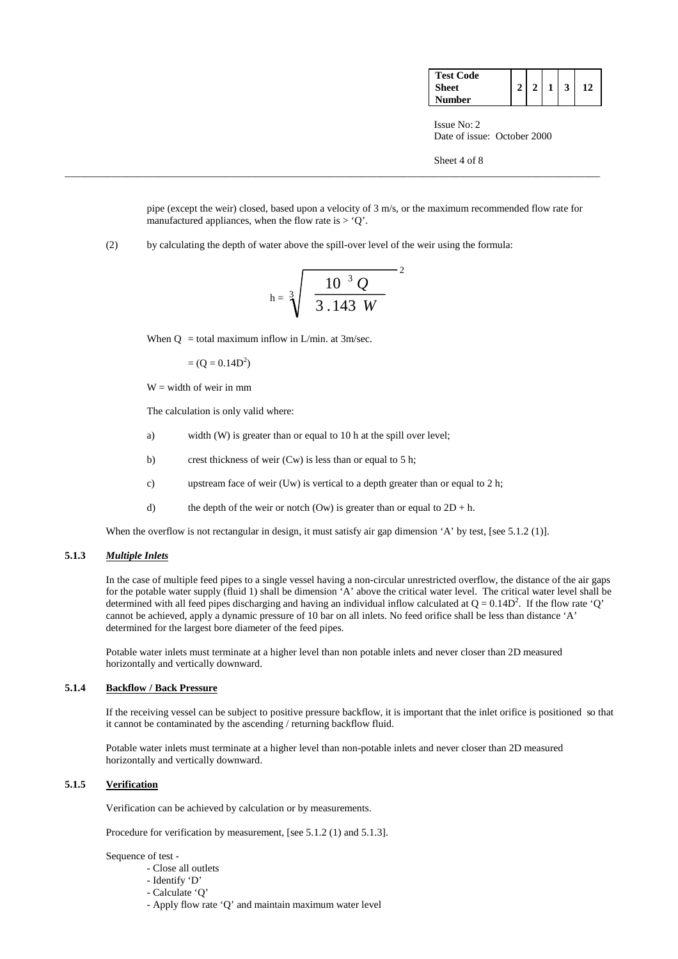| <b>Test Code</b> |  |  |  |
|------------------|--|--|--|
| <b>Sheet</b>     |  |  |  |
| <b>Number</b>    |  |  |  |

Sheet 4 of 8

 pipe (except the weir) closed, based upon a velocity of 3 m/s, or the maximum recommended flow rate for manufactured appliances, when the flow rate is  $> 0$ .

(2) by calculating the depth of water above the spill-over level of the weir using the formula:

$$
h = \sqrt[3]{\left(\frac{10^{-3} Q}{3.143 W}\right)^2}
$$

\_\_\_\_\_\_\_\_\_\_\_\_\_\_\_\_\_\_\_\_\_\_\_\_\_\_\_\_\_\_\_\_\_\_\_\_\_\_\_\_\_\_\_\_\_\_\_\_\_\_\_\_\_\_\_\_\_\_\_\_\_\_\_\_\_\_\_\_\_\_\_\_\_\_\_\_\_\_\_\_\_\_\_\_\_\_\_\_\_\_\_\_\_\_\_\_\_\_\_\_\_\_\_

When  $Q =$  total maximum inflow in L/min. at 3m/sec.

 $= (Q = 0.14D^2)$ 

 $W =$  width of weir in mm

The calculation is only valid where:

- a) width (W) is greater than or equal to 10 h at the spill over level;
- b) crest thickness of weir (Cw) is less than or equal to 5 h;
- c) upstream face of weir (Uw) is vertical to a depth greater than or equal to 2 h;
- d) the depth of the weir or notch (Ow) is greater than or equal to  $2D + h$ .

When the overflow is not rectangular in design, it must satisfy air gap dimension 'A' by test, [see 5.1.2 (1)].

#### **5.1.3** *Multiple Inlets*

In the case of multiple feed pipes to a single vessel having a non-circular unrestricted overflow, the distance of the air gaps for the potable water supply (fluid 1) shall be dimension 'A' above the critical water level. The critical water level shall be determined with all feed pipes discharging and having an individual inflow calculated at  $Q = 0.14D^2$ . If the flow rate 'Q' cannot be achieved, apply a dynamic pressure of 10 bar on all inlets. No feed orifice shall be less than distance 'A' determined for the largest bore diameter of the feed pipes.

 Potable water inlets must terminate at a higher level than non potable inlets and never closer than 2D measured horizontally and vertically downward.

## **5.1.4 Backflow / Back Pressure**

 If the receiving vessel can be subject to positive pressure backflow, it is important that the inlet orifice is positioned so that it cannot be contaminated by the ascending / returning backflow fluid.

 Potable water inlets must terminate at a higher level than non-potable inlets and never closer than 2D measured horizontally and vertically downward.

## **5.1.5 Verification**

Verification can be achieved by calculation or by measurements.

Procedure for verification by measurement, [see 5.1.2 (1) and 5.1.3].

Sequence of test -

- Close all outlets
- Identify 'D'
- Calculate 'Q'
- Apply flow rate 'Q' and maintain maximum water level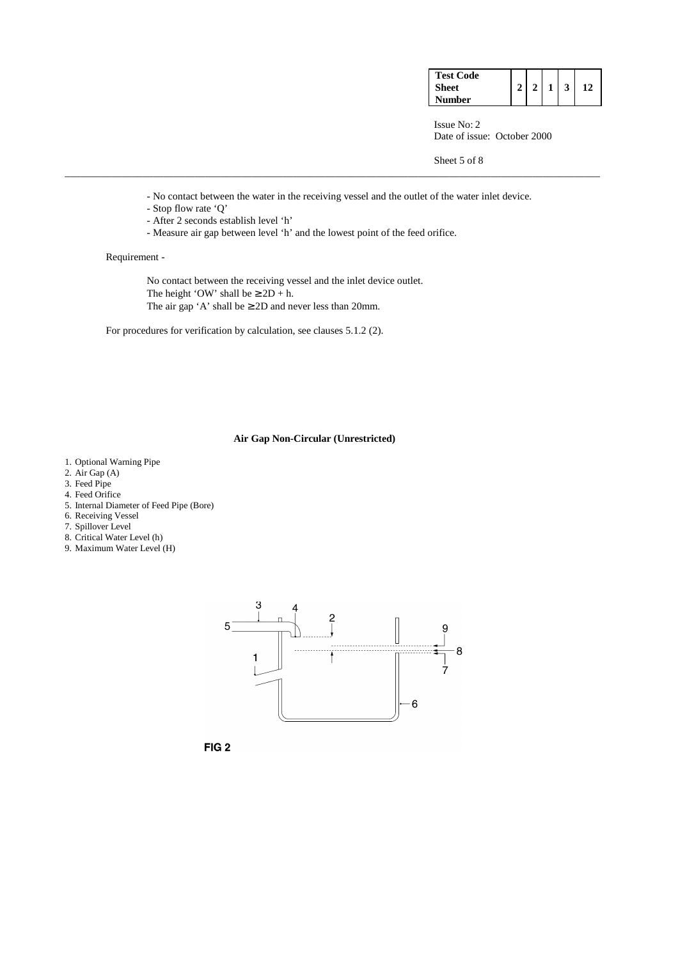| <b>Test Code</b> |  |  |  |
|------------------|--|--|--|
| <b>Sheet</b>     |  |  |  |
| Number           |  |  |  |

Sheet 5 of 8

- No contact between the water in the receiving vessel and the outlet of the water inlet device.

\_\_\_\_\_\_\_\_\_\_\_\_\_\_\_\_\_\_\_\_\_\_\_\_\_\_\_\_\_\_\_\_\_\_\_\_\_\_\_\_\_\_\_\_\_\_\_\_\_\_\_\_\_\_\_\_\_\_\_\_\_\_\_\_\_\_\_\_\_\_\_\_\_\_\_\_\_\_\_\_\_\_\_\_\_\_\_\_\_\_\_\_\_\_\_\_\_\_\_\_\_\_\_

- Stop flow rate 'Q'
- After 2 seconds establish level 'h'
- Measure air gap between level 'h' and the lowest point of the feed orifice.

## Requirement -

 No contact between the receiving vessel and the inlet device outlet. The height 'OW' shall be  $\geq 2D + h$ . The air gap 'A' shall be  $\geq$  2D and never less than 20mm.

For procedures for verification by calculation, see clauses 5.1.2 (2).

## **Air Gap Non-Circular (Unrestricted)**

- 1. Optional Warning Pipe
- 2. Air Gap  $(A)$
- 3. Feed Pipe
- 4. Feed Orifice
- 5. Internal Diameter of Feed Pipe (Bore)
- 6. Receiving Vessel
- 7. Spillover Level
- 8. Critical Water Level (h)
- 9. Maximum Water Level (H)



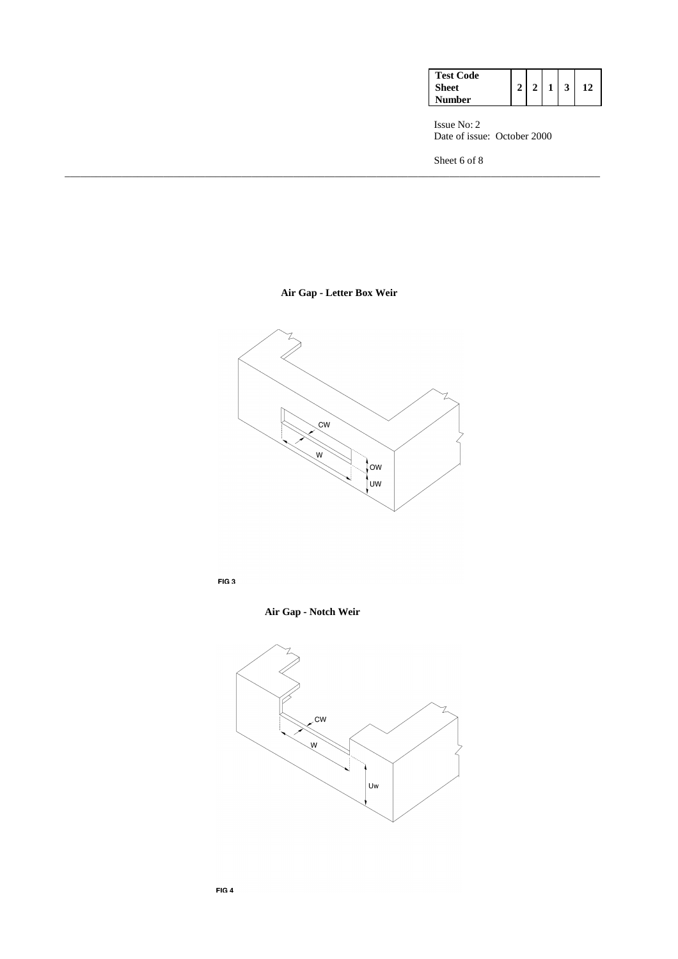| <b>Test Code</b> |  |  |  |
|------------------|--|--|--|
| Sheet            |  |  |  |
| Number           |  |  |  |

Sheet 6 of 8

**Air Gap - Letter Box Weir** 

\_\_\_\_\_\_\_\_\_\_\_\_\_\_\_\_\_\_\_\_\_\_\_\_\_\_\_\_\_\_\_\_\_\_\_\_\_\_\_\_\_\_\_\_\_\_\_\_\_\_\_\_\_\_\_\_\_\_\_\_\_\_\_\_\_\_\_\_\_\_\_\_\_\_\_\_\_\_\_\_\_\_\_\_\_\_\_\_\_\_\_\_\_\_\_\_\_\_\_\_\_\_\_



FIG<sub>3</sub>

 **Air Gap - Notch Weir** 

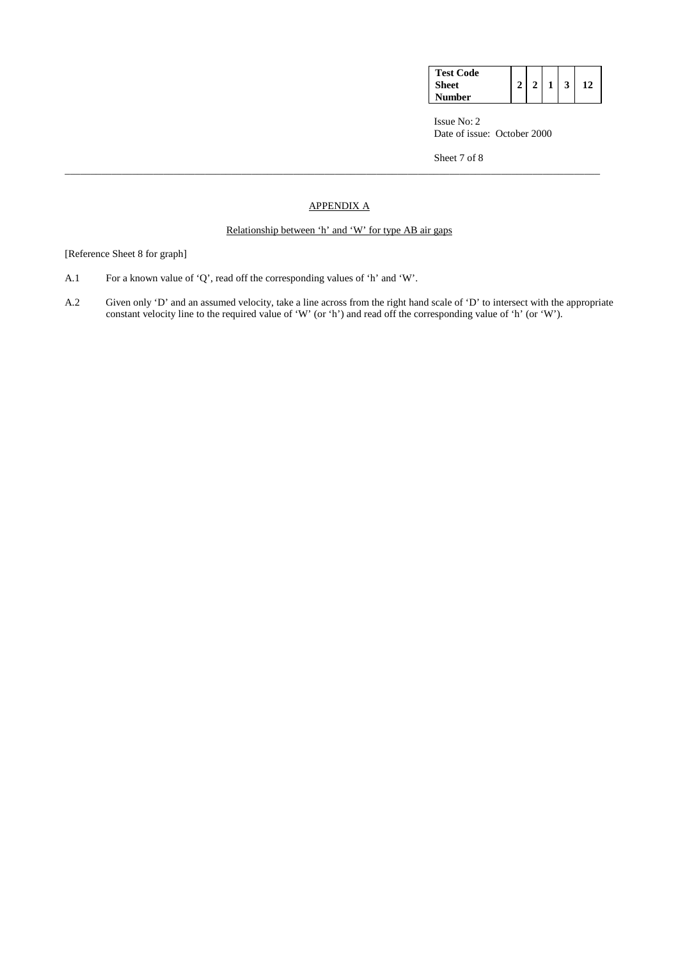| <b>Test Code</b><br><b>Sheet</b> | ↑ |  |  |
|----------------------------------|---|--|--|
| Number                           |   |  |  |

Sheet 7 of 8

# APPENDIX A

\_\_\_\_\_\_\_\_\_\_\_\_\_\_\_\_\_\_\_\_\_\_\_\_\_\_\_\_\_\_\_\_\_\_\_\_\_\_\_\_\_\_\_\_\_\_\_\_\_\_\_\_\_\_\_\_\_\_\_\_\_\_\_\_\_\_\_\_\_\_\_\_\_\_\_\_\_\_\_\_\_\_\_\_\_\_\_\_\_\_\_\_\_\_\_\_\_\_\_\_\_\_\_

## Relationship between 'h' and 'W' for type AB air gaps

## [Reference Sheet 8 for graph]

- A.1 For a known value of 'Q', read off the corresponding values of 'h' and 'W'.
- A.2 Given only 'D' and an assumed velocity, take a line across from the right hand scale of 'D' to intersect with the appropriate constant velocity line to the required value of 'W' (or 'h') and read off the corresponding value of 'h' (or 'W').